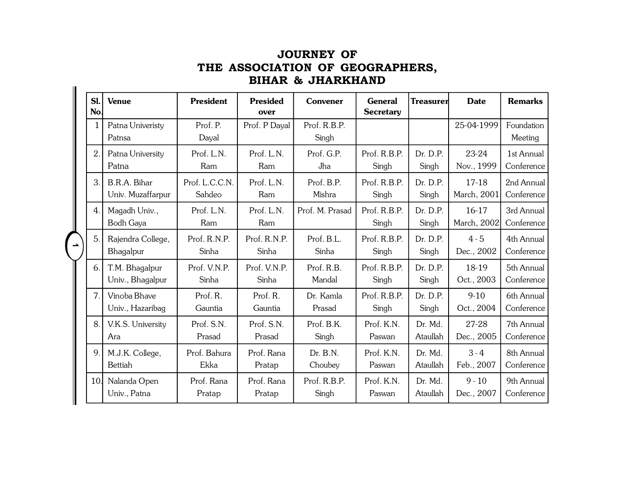|   | Sl.<br>No.   | <b>Venue</b>                       | <b>President</b>         | <b>Presided</b><br>over | Convener              | <b>General</b><br><b>Secretary</b> | <b>Treasurer</b>    | <b>Date</b>            | <b>Remarks</b>           |
|---|--------------|------------------------------------|--------------------------|-------------------------|-----------------------|------------------------------------|---------------------|------------------------|--------------------------|
|   | $\mathbf{1}$ | Patna Univeristy<br>Patnsa         | Prof. P.<br>Dayal        | Prof. P Dayal           | Prof. R.B.P.<br>Singh |                                    |                     | 25-04-1999             | Foundation<br>Meeting    |
|   | 2.           | Patna University<br>Patna          | Prof. L.N.<br>Ram        | Prof. L.N.<br>Ram       | Prof. G.P.<br>Jha     | Prof. R.B.P.<br>Singh              | Dr. D.P.<br>Singh   | 23-24<br>Nov., 1999    | 1st Annual<br>Conference |
|   | 3.           | B.R.A. Bihar<br>Univ. Muzaffarpur  | Prof. L.C.C.N.<br>Sahdeo | Prof. L.N.<br>Ram       | Prof. B.P.<br>Mishra  | Prof. R.B.P.<br>Singh              | Dr. D.P.<br>Singh   | $17-18$<br>March, 2001 | 2nd Annual<br>Conference |
|   | 4.           | Magadh Univ.,<br><b>Bodh Gaya</b>  | Prof. L.N.<br>Ram        | Prof. L.N.<br>Ram       | Prof. M. Prasad       | Prof. R.B.P.<br>Singh              | Dr. D.P.<br>Singh   | $16-17$<br>March, 2002 | 3rd Annual<br>Conference |
| ᅩ | 5.           | Rajendra College,<br>Bhagalpur     | Prof. R.N.P.<br>Sinha    | Prof. R.N.P.<br>Sinha   | Prof. B.L.<br>Sinha   | Prof. R.B.P.<br>Singh              | Dr. D.P.<br>Singh   | $4 - 5$<br>Dec., 2002  | 4th Annual<br>Conference |
|   | 6.           | T.M. Bhagalpur<br>Univ., Bhagalpur | Prof. V.N.P.<br>Sinha    | Prof. V.N.P.<br>Sinha   | Prof. R.B.<br>Mandal  | Prof. R.B.P.<br>Singh              | Dr. D.P.<br>Singh   | 18-19<br>Oct., 2003    | 5th Annual<br>Conference |
|   | 7.           | Vinoba Bhave<br>Univ., Hazaribag   | Prof. R.<br>Gauntia      | Prof. R.<br>Gauntia     | Dr. Kamla<br>Prasad   | Prof. R.B.P.<br>Singh              | Dr. D.P.<br>Singh   | $9-10$<br>Oct., 2004   | 6th Annual<br>Conference |
|   | 8.           | V.K.S. University<br>Ara           | Prof. S.N.<br>Prasad     | Prof. S.N.<br>Prasad    | Prof. B.K.<br>Singh   | Prof. K.N.<br>Paswan               | Dr. Md.<br>Ataullah | 27-28<br>Dec., 2005    | 7th Annual<br>Conference |
|   | 9.           | M.J.K. College,<br>Bettiah         | Prof. Bahura<br>Ekka     | Prof. Rana<br>Pratap    | Dr. B.N.<br>Choubey   | Prof. K.N.<br>Paswan               | Dr. Md.<br>Ataullah | $3 - 4$<br>Feb., 2007  | 8th Annual<br>Conference |
|   | 10.          | Nalanda Open<br>Univ., Patna       | Prof. Rana<br>Pratap     | Prof. Rana<br>Pratap    | Prof. R.B.P.<br>Singh | Prot. K.N.<br>Paswan               | Dr. Md.<br>Ataullah | $9 - 10$<br>Dec., 2007 | 9th Annual<br>Conference |

## **JOURNEY OF THE ASSOCIATION OF GEOGRAPHERS,BIHAR & JHARKHAND**